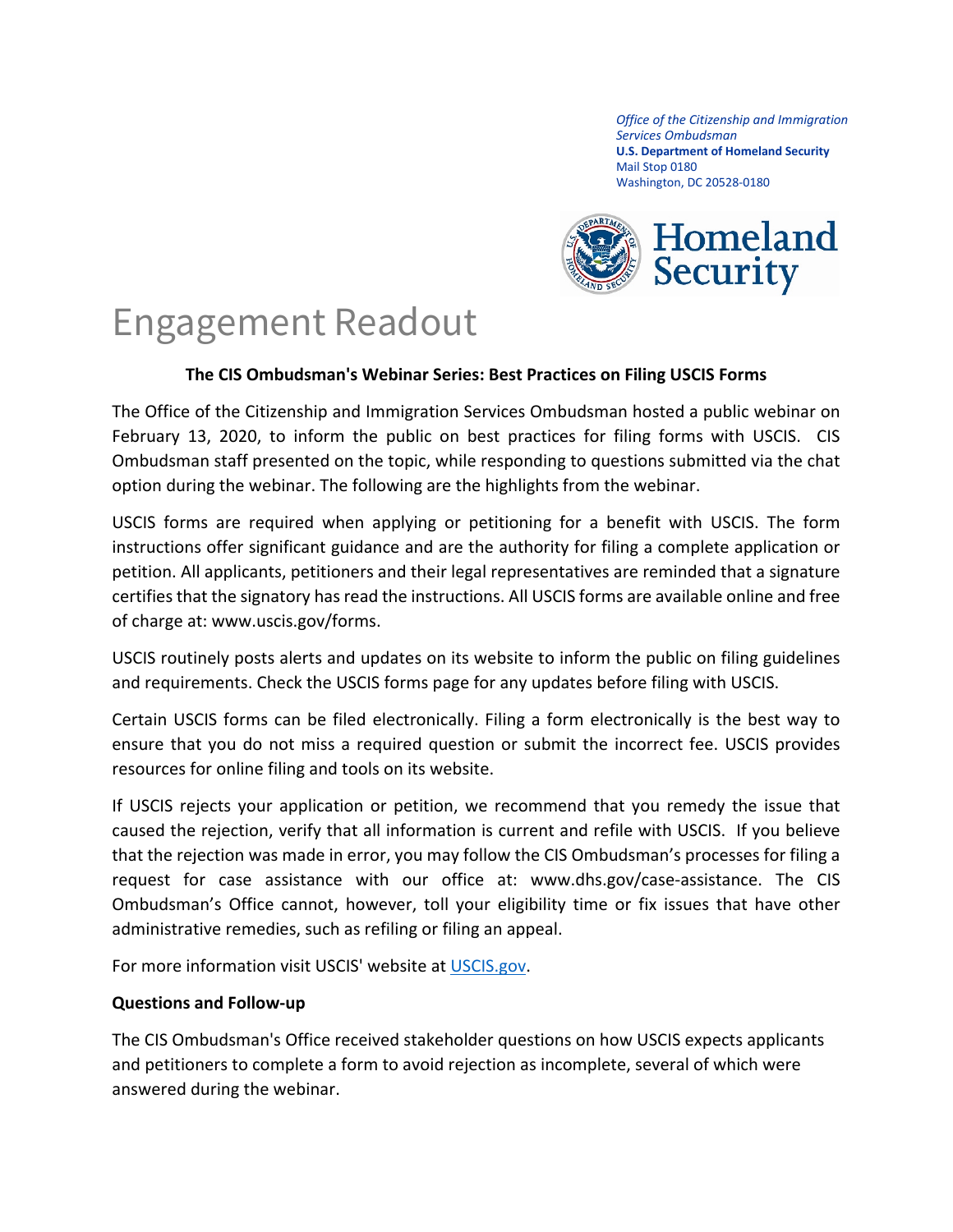*Office of the Citizenship and Immigration Services Ombudsman* **U.S. Department of Homeland Security** Mail Stop 0180 Washington, DC 20528-0180



## Engagement Readout

## **The CIS Ombudsman's Webinar Series: Best Practices on Filing USCIS Forms**

The Office of the Citizenship and Immigration Services Ombudsman hosted a public webinar on February 13, 2020, to inform the public on best practices for filing forms with USCIS. CIS Ombudsman staff presented on the topic, while responding to questions submitted via the chat option during the webinar. The following are the highlights from the webinar.

USCIS forms are required when applying or petitioning for a benefit with USCIS. The form instructions offer significant guidance and are the authority for filing a complete application or petition. All applicants, petitioners and their legal representatives are reminded that a signature certifies that the signatory has read the instructions. All USCIS forms are available online and free of charge at: www.uscis.gov/forms.

USCIS routinely posts alerts and updates on its website to inform the public on filing guidelines and requirements. Check the USCIS forms page for any updates before filing with USCIS.

Certain USCIS forms can be filed electronically. Filing a form electronically is the best way to ensure that you do not miss a required question or submit the incorrect fee. USCIS provides resources for online filing and tools on its website.

If USCIS rejects your application or petition, we recommend that you remedy the issue that caused the rejection, verify that all information is current and refile with USCIS. If you believe that the rejection was made in error, you may follow the CIS Ombudsman's processes for filing a request for case assistance with our office at: www.dhs.gov/case-assistance. The CIS Ombudsman's Office cannot, however, toll your eligibility time or fix issues that have other administrative remedies, such as refiling or filing an appeal.

For more information visit USCIS' website at [USCIS.gov.](www.uscis.gov)

## **Questions and Follow-up**

The CIS Ombudsman's Office received stakeholder questions on how USCIS expects applicants and petitioners to complete a form to avoid rejection as incomplete, several of which were answered during the webinar.